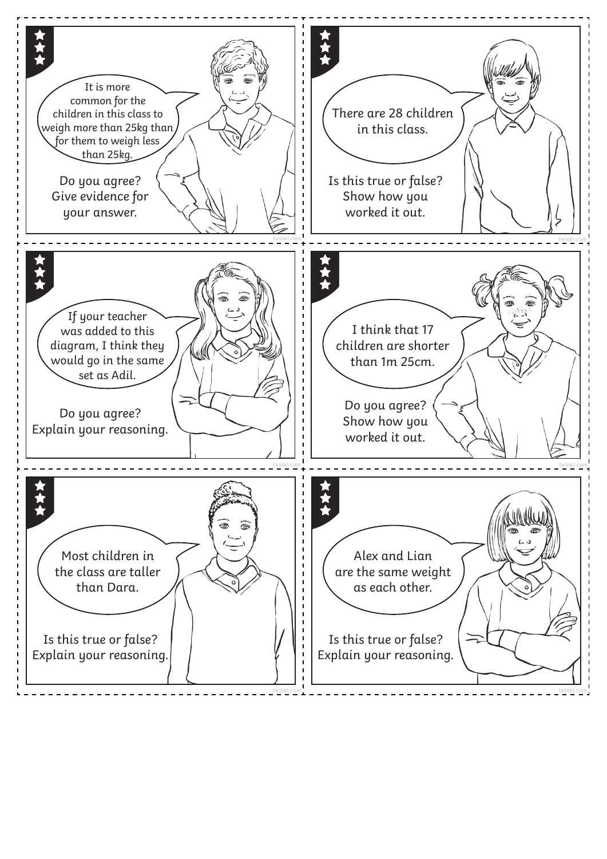